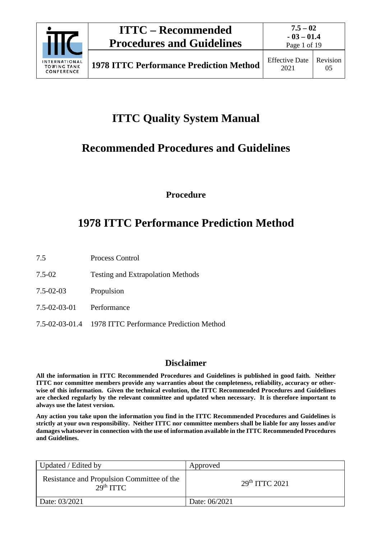

Page 1 of 19

# **ITTC Quality System Manual**

# **Recommended Procedures and Guidelines**

**Procedure**

# **1978 ITTC Performance Prediction Method**

- 7.5 Process Control
- 7.5-02 Testing and Extrapolation Methods
- 7.5-02-03 Propulsion
- 7.5-02-03-01 Performance
- 7.5-02-03-01.4 1978 ITTC Performance Prediction Method

### **Disclaimer**

**All the information in ITTC Recommended Procedures and Guidelines is published in good faith. Neither ITTC nor committee members provide any warranties about the completeness, reliability, accuracy or otherwise of this information. Given the technical evolution, the ITTC Recommended Procedures and Guidelines are checked regularly by the relevant committee and updated when necessary. It is therefore important to always use the latest version.**

**Any action you take upon the information you find in the ITTC Recommended Procedures and Guidelines is strictly at your own responsibility. Neither ITTC nor committee members shall be liable for any losses and/or damages whatsoever in connection with the use of information available in the ITTC Recommended Procedures and Guidelines.**

| Updated / Edited by                                                 | Approved                   |
|---------------------------------------------------------------------|----------------------------|
| Resistance and Propulsion Committee of the<br>29 <sup>th</sup> TTTC | 29 <sup>th</sup> TTTC 2021 |
| Date: 03/2021                                                       | Date: 06/2021              |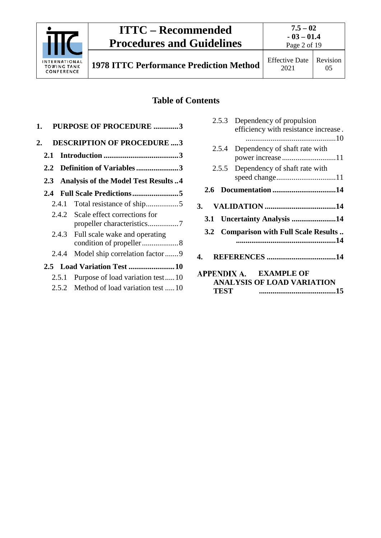

**7.5 – 02 - 03 – 01.4**

Page 2 of 19

**1978 ITTC Performance Prediction Method** Effective Date

2021

### **Table of Contents**

| 1.    | <b>PURPOSE OF PROCEDURE 3</b>                            |
|-------|----------------------------------------------------------|
| 2.    | <b>DESCRIPTION OF PROCEDURE 3</b>                        |
| 2.1   |                                                          |
|       | 2.2 Definition of Variables3                             |
|       | 2.3 Analysis of the Model Test Results 4                 |
| 2.4   |                                                          |
| 2.4.1 |                                                          |
|       | 2.4.2 Scale effect corrections for                       |
| 2.4.3 | Full scale wake and operating<br>condition of propeller8 |
| 2.4.4 | Model ship correlation factor 9                          |
|       |                                                          |
| 2.5.1 | Purpose of load variation test10                         |
|       | 2.5.2 Method of load variation test  10                  |

| 2.5.3        | Dependency of propulsion               |
|--------------|----------------------------------------|
|              | efficiency with resistance increase.   |
|              |                                        |
|              | 2.5.4 Dependency of shaft rate with    |
|              | power increase 11                      |
| 2.5.5        | Dependency of shaft rate with          |
|              |                                        |
|              |                                        |
|              |                                        |
| $\mathbf{3}$ |                                        |
|              | 3.1 Uncertainty Analysis 14            |
|              | 3.2 Comparison with Full Scale Results |
|              |                                        |
| 4.           |                                        |
|              | APPENDIX A. EXAMPLE OF                 |
|              | <b>ANALYSIS OF LOAD VARIATION</b>      |
| TEST         |                                        |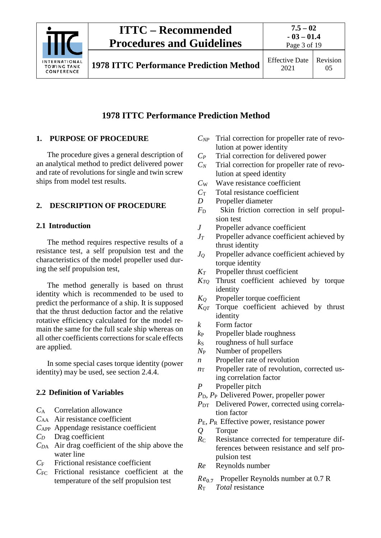

### **1978 ITTC Performance Prediction Method**

### <span id="page-2-0"></span>**1. PURPOSE OF PROCEDURE**

The procedure gives a general description of an analytical method to predict delivered power and rate of revolutions for single and twin screw ships from model test results.

### <span id="page-2-2"></span><span id="page-2-1"></span>**2. DESCRIPTION OF PROCEDURE**

### **2.1 Introduction**

The method requires respective results of a resistance test, a self propulsion test and the characteristics of the model propeller used during the self propulsion test,

The method generally is based on thrust identity which is recommended to be used to predict the performance of a ship. It is supposed that the thrust deduction factor and the relative rotative efficiency calculated for the model remain the same for the full scale ship whereas on all other coefficients corrections for scale effects are applied.

In some special cases torque identity (power identity) may be used, see section 2.4.4.

### <span id="page-2-3"></span>**2.2 Definition of Variables**

- *C*<sup>A</sup> Correlation allowance
- *C*AA Air resistance coefficient
- *C*APP Appendage resistance coefficient
- *CD* Drag coefficient
- *CD*<sup>A</sup> Air drag coefficient of the ship above the water line
- *C*<sup>F</sup> Frictional resistance coefficient
- *C*FC Frictional resistance coefficient at the temperature of the self propulsion test
- *CNP* Trial correction for propeller rate of revolution at power identity
- *CP* Trial correction for delivered power
- $C_N$  Trial correction for propeller rate of revolution at speed identity
- *C*<sup>W</sup> Wave resistance coefficient
- *C*<sup>T</sup> Total resistance coefficient
- *D* Propeller diameter
- *F*<sup>D</sup> Skin friction correction in self propulsion test
- *J* Propeller advance coefficient
- *JT* Propeller advance coefficient achieved by thrust identity
- *JQ* Propeller advance coefficient achieved by torque identity
- *KT* Propeller thrust coefficient
- *KTQ* Thrust coefficient achieved by torque identity
- *KQ* Propeller torque coefficient
- *KQT* Torque coefficient achieved by thrust identity
- *k* Form factor
- *k*<sup>P</sup> Propeller blade roughness
- $k<sub>S</sub>$  roughness of hull surface
- *N*<sup>P</sup> Number of propellers
- *n* Propeller rate of revolution
- $n<sub>T</sub>$  Propeller rate of revolution, corrected using correlation factor
- *P* Propeller pitch
- *P*D*, P*<sup>P</sup> Delivered Power, propeller power
- *P*<sub>DT</sub> Delivered Power, corrected using correlation factor
- *P*E*, P*<sup>R</sup> Effective power, resistance power
- *Q* Torque
- *R*<sup>C</sup> Resistance corrected for temperature differences between resistance and self propulsion test
- *Re* Reynolds number
- $Re_{0.7}$  Propeller Reynolds number at 0.7 R<br> $R_{\text{T}}$  Total resistance
- *R*<sup>T</sup> *Total* resistance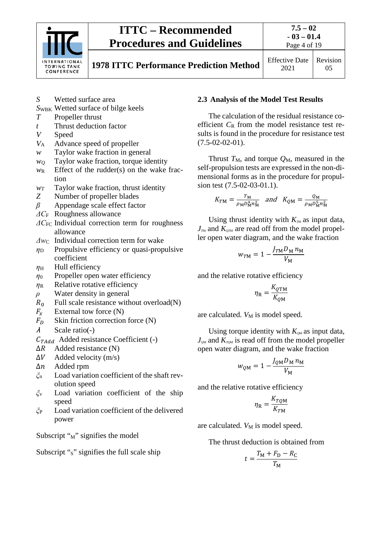

**7.5 – 02**

**1978 ITTC Performance Prediction Method** Effective Date

2021 Revision 05

- *S* Wetted surface area
- **SWBK** Wetted surface of bilge keels
- *T* Propeller thrust
- *t* Thrust deduction factor
- *V* Speed
- *V*<sup>A</sup> Advance speed of propeller
- *w* Taylor wake fraction in general
- *wQ* Taylor wake fraction, torque identity
- $w_R$  Effect of the rudder(s) on the wake fraction
- *wT* Taylor wake fraction, thrust identity
- *Z* Number of propeller blades
- *β* Appendage scale effect factor
- *ΔC*<sup>F</sup> Roughness allowance
- *ΔC*<sub>FC</sub> Individual correction term for roughness allowance
- *Δw*<sup>C</sup> Individual correction term for wake
- *η*<sup>D</sup> Propulsive efficiency or quasi-propulsive coefficient
- $η$ <sub>H</sub> Hull efficiency
- *η*<sup>0</sup> Propeller open water efficiency
- *η*<sup>R</sup> Relative rotative efficiency
- *ρ* Water density in general
- $R_0$  Full scale resistance without overload(N)<br> $F_x$  External tow force (N)
- 
- $F_x$  External tow force (N)<br>  $F_p$  Skin friction correction  $F_D$  Skin friction correction force (N)<br>  $\lambda$  Scale ratio(-)
- Scale ratio(-)

 $C_{TAdd}$  Added resistance Coefficient (-)<br> $\Delta R$  Added resistance (N)

- $\Delta R$  Added resistance (N)<br> $\Delta V$  Added velocity (m/s)
- $ΔV$  Added velocity (m/s)<br> $Δn$  Added rpm
- 
- $\Delta n$  Added rpm<br>  $\xi_n$  Load variation Load variation coefficient of the shaft revolution speed
- *ξ*<sup>v</sup> Load variation coefficient of the ship speed
- *ξ*<sup>P</sup> Load variation coefficient of the delivered power

Subscript " $M$ " signifies the model

Subscript " $s$ " signifies the full scale ship

#### <span id="page-3-0"></span>**2.3 Analysis of the Model Test Results**

The calculation of the residual resistance coefficient  $C_R$  from the model resistance test results is found in the procedure for resistance test  $(7.5-02-02-01)$ .

Thrust  $T_M$ , and torque  $Q_M$ , measured in the self-propulsion tests are expressed in the non-dimensional forms as in the procedure for propulsion test (7.5-02-03-01.1).

$$
K_{TM} = \frac{T_M}{\rho_M D_M^4 n_M^2} \quad and \quad K_{QM} = \frac{Q_M}{\rho_M D_M^5 n_M^2}
$$

Using thrust identity with  $K<sub>m</sub>$  as input data,  $J<sub>m</sub>$  and  $K<sub>qm</sub>$  are read off from the model propeller open water diagram, and the wake fraction

$$
w_{TM} = 1 - \frac{J_{TM} D_M n_M}{V_M}
$$

and the relative rotative efficiency

$$
\eta_{\rm R} = \frac{K_{Q \rm TM}}{K_{Q \rm M}}
$$

are calculated.  $V_M$  is model speed.

Using torque identity with  $K_{\varrho M}$  as input data,  $J_{\text{QM}}$  and  $K_{\text{TQM}}$  is read off from the model propeller open water diagram, and the wake fraction

$$
w_{QM} = 1 - \frac{J_{QM} D_M n_M}{V_M}
$$

and the relative rotative efficiency

$$
\eta_{\rm R} = \frac{K_{TQM}}{K_{TM}}
$$

are calculated.  $V_M$  is model speed.

The thrust deduction is obtained from

$$
t = \frac{T_{\rm M} + F_{\rm D} - R_{\rm C}}{T_{\rm M}}
$$

$$
-03 - 01.4
$$
  
Page 4 of 19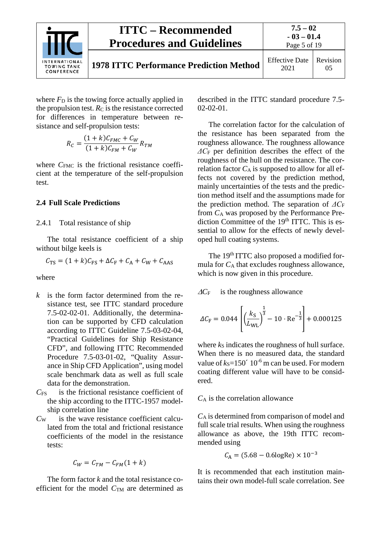

where  $F<sub>D</sub>$  is the towing force actually applied in the propulsion test.  $R_C$  is the resistance corrected for differences in temperature between resistance and self-propulsion tests:

$$
R_C = \frac{(1+k)C_{FMC} + C_W}{(1+k)C_{FM} + C_W}R_{TM}
$$

where  $C_{\text{FMC}}$  is the frictional resistance coefficient at the temperature of the self-propulsion test.

#### <span id="page-4-1"></span><span id="page-4-0"></span>**2.4 Full Scale Predictions**

2.4.1 Total resistance of ship

The total resistance coefficient of a ship without bilge keels is

$$
C_{\rm TS} = (1 + k)C_{\rm FS} + \Delta C_{\rm F} + C_{\rm A} + C_{\rm W} + C_{\rm AAS}
$$

where

- *k* is the form factor determined from the resistance test, see ITTC standard procedure 7.5-02-02-01. Additionally, the determination can be supported by CFD calculation according to ITTC Guideline 7.5-03-02-04, "Practical Guidelines for Ship Resistance CFD", and following ITTC Recommended Procedure 7.5-03-01-02, "Quality Assurance in Ship CFD Application", using model scale benchmark data as well as full scale data for the demonstration.
- *C*FS is the frictional resistance coefficient of the ship according to the ITTC-1957 modelship correlation line
- *C*<sup>W</sup> is the wave resistance coefficient calculated from the total and frictional resistance coefficients of the model in the resistance tests:

$$
C_W = C_{TM} - C_{FM}(1+k)
$$

The form factor *k* and the total resistance coefficient for the model  $C<sub>TM</sub>$  are determined as described in the ITTC standard procedure 7.5- 02-02-01.

The correlation factor for the calculation of the resistance has been separated from the roughness allowance. The roughness allowance *ΔC*<sup>F</sup> per definition describes the effect of the roughness of the hull on the resistance. The correlation factor  $C_A$  is supposed to allow for all effects not covered by the prediction method, mainly uncertainties of the tests and the prediction method itself and the assumptions made for the prediction method. The separation of *ΔC*<sup>F</sup> from *C*<sup>A</sup> was proposed by the Performance Prediction Committee of the 19<sup>th</sup> ITTC. This is essential to allow for the effects of newly developed hull coating systems.

The 19<sup>th</sup> ITTC also proposed a modified formula for  $C_A$  that excludes roughness allowance, which is now given in this procedure.

<sup>∆</sup>*C*<sup>F</sup> is the roughness allowance

$$
\Delta C_{\rm F} = 0.044 \left[ \left( \frac{k_{\rm S}}{L_{\rm WL}} \right)^{\frac{1}{3}} - 10 \cdot \text{Re}^{-\frac{1}{3}} \right] + 0.000125
$$

where  $k<sub>S</sub>$  indicates the roughness of hull surface. When there is no measured data, the standard value of  $k<sub>S</sub>=150' 10<sup>-6</sup>$  m can be used. For modern coating different value will have to be considered.

#### *C*<sup>A</sup> is the correlation allowance

*C*<sup>A</sup> is determined from comparison of model and full scale trial results. When using the roughness allowance as above, the 19th ITTC recommended using

$$
C_{\rm A} = (5.68 - 0.6 \text{logRe}) \times 10^{-3}
$$

It is recommended that each institution maintains their own model-full scale correlation. See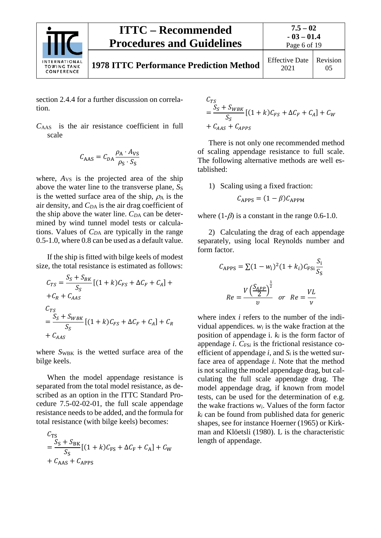

**7.5 – 02 - 03 – 01.4** Page 6 of 19

section 2.4.4 for a further discussion on correlation.

*C*AAS is the air resistance coefficient in full scale

$$
C_{\text{AAS}} = C_{DA} \frac{\rho_{\text{A}} \cdot A_{\text{VS}}}{\rho_{\text{S}} \cdot S_{\text{S}}}
$$

where,  $A_{VS}$  is the projected area of the ship above the water line to the transverse plane, S<sub>S</sub> is the wetted surface area of the ship,  $\rho_A$  is the air density, and *CD*<sup>A</sup> is the air drag coefficient of the ship above the water line.  $C_{DA}$  can be determined by wind tunnel model tests or calculations. Values of *CD*<sup>A</sup> are typically in the range 0.5-1.0, where 0.8 can be used as a default value.

If the ship is fitted with bilge keels of modest size, the total resistance is estimated as follows:

$$
C_{TS} = \frac{S_S + S_{BK}}{S_S} [(1 + k)C_{FS} + \Delta C_F + C_A] +
$$
  
+ $C_R + C_{AAS}$   

$$
C_{TS}
$$
  

$$
= \frac{S_S + S_{WBK}}{S_S} [(1 + k)C_{FS} + \Delta C_F + C_A] + C_R
$$
  
+ $C_{AAS}$ 

where  $S_{WBK}$  is the wetted surface area of the bilge keels.

When the model appendage resistance is separated from the total model resistance, as described as an option in the ITTC Standard Procedure 7.5-02-02-01, the full scale appendage resistance needs to be added, and the formula for total resistance (with bilge keels) becomes:

$$
C_{TS}
$$
  
= 
$$
\frac{S_S + S_{BK}}{S_S} [(1 + k)C_{FS} + \Delta C_F + C_A] + C_W
$$
  
+ 
$$
C_{AAS} + C_{APPS}
$$

$$
C_{TS}
$$
  
= 
$$
\frac{S_S + S_{WBK}}{S_S} [(1 + k)C_{FS} + \Delta C_F + C_A] + C_W
$$
  
+ 
$$
C_{AAS} + C_{APPS}
$$

There is not only one recommended method of scaling appendage resistance to full scale. The following alternative methods are well established:

1) Scaling using a fixed fraction:

$$
C_{\rm APPS} = (1 - \beta) C_{\rm APPM}
$$

where  $(1-\beta)$  is a constant in the range 0.6-1.0.

2) Calculating the drag of each appendage separately, using local Reynolds number and form factor.

$$
C_{APPS} = \sum (1 - w_i)^2 (1 + k_i) C_{FSi} \frac{S_i}{S_S}
$$

$$
Re = \frac{V \left(\frac{S_{APP}}{2}\right)^{\frac{1}{2}}}{v} \quad or \quad Re = \frac{VL}{v}
$$

where index *i* refers to the number of the individual appendices.  $w_i$  is the wake fraction at the position of appendage i.  $k_i$  is the form factor of appendage  $i$ .  $C_{FSi}$  is the frictional resistance coefficient of appendage  $i$ , and  $S_i$  is the wetted surface area of appendage *i*. Note that the method is not scaling the model appendage drag, but calculating the full scale appendage drag. The model appendage drag, if known from model tests, can be used for the determination of e.g. the wake fractions *wi*. Values of the form factor *ki* can be found from published data for generic shapes, see for instance Hoerner (1965) or Kirkman and Klöetsli (1980). L is the characteristic length of appendage.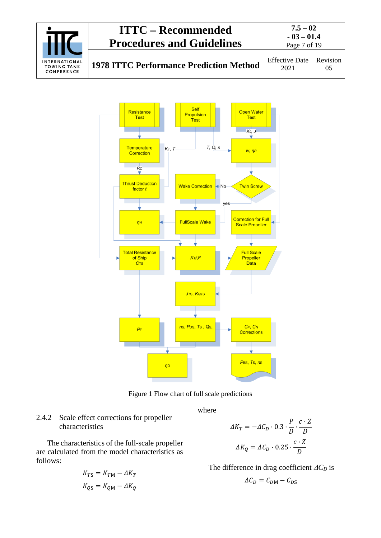| <b>INTERNATIONAL</b><br><b>TOWING TANK</b><br>CONFERENCE | <b>ITTC – Recommended</b><br><b>Procedures and Guidelines</b> | $7.5 - 02$<br>$-03 - 01.4$<br>Page 7 of 19 |          |
|----------------------------------------------------------|---------------------------------------------------------------|--------------------------------------------|----------|
|                                                          | <b>1978 ITTC Performance Prediction Method</b>                | <b>Effective Date</b><br>2021              | Revision |



Figure 1 Flow chart of full scale predictions

where

### <span id="page-6-0"></span>2.4.2 Scale effect corrections for propeller characteristics

The characteristics of the full-scale propeller are calculated from the model characteristics as follows:

$$
K_{TS} = K_{TM} - \Delta K_T
$$
  

$$
K_{QS} = K_{QM} - \Delta K_Q
$$

$$
\Delta K_T = -\Delta C_D \cdot 0.3 \cdot \frac{P}{D} \cdot \frac{c \cdot Z}{D}
$$

$$
\Delta K_Q = \Delta C_D \cdot 0.25 \cdot \frac{c \cdot Z}{D}
$$

The difference in drag coefficient ∆*CD* is

$$
\Delta C_D = C_{DM} - C_{DS}
$$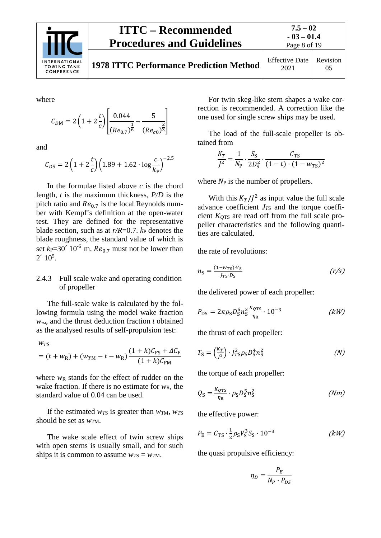

**1978 ITTC Performance Prediction Method** Effective Date

where

$$
C_{DM} = 2\left(1 + 2\frac{t}{c}\right) \left[ \frac{0.044}{(Re_{0.7})^{\frac{1}{6}}} - \frac{5}{(Re_{c0})^{\frac{2}{3}}} \right]
$$

and

 $W_{\text{mc}}$ 

$$
C_{DS} = 2\left(1 + 2\frac{t}{c}\right)\left(1.89 + 1.62 \cdot \log\frac{c}{k_{P}}\right)^{-2.5}
$$

In the formulae listed above *c* is the chord length, *t* is the maximum thickness, *P/D* is the pitch ratio and  $Re_{0.7}$  is the local Reynolds number with Kempf's definition at the open-water test. They are defined for the representative blade section, such as at  $r/R = 0.7$ .  $k_P$  denotes the blade roughness, the standard value of which is set  $k_P$ =30<sup> $\degree$ </sup> 10<sup>-6</sup> m.  $Re_{0.7}$  must not be lower than  $2' 10^5$ .

#### <span id="page-7-0"></span>2.4.3 Full scale wake and operating condition of propeller

The full-scale wake is calculated by the following formula using the model wake fraction  $w_{\text{TM}}$ , and the thrust deduction fraction *t* obtained as the analysed results of self-propulsion test:

$$
= (t + w_{R}) + (w_{TM} - t - w_{R}) \frac{(1 + k)C_{FS} + \Delta C_{F}}{(1 + k)C_{FM}}
$$

where  $w_R$  stands for the effect of rudder on the wake fraction. If there is no estimate for  $w_R$ , the standard value of 0.04 can be used.

If the estimated  $w_{TS}$  is greater than  $w_{TN}$ ,  $w_{TS}$ should be set as *wT*M.

The wake scale effect of twin screw ships with open sterns is usually small, and for such ships it is common to assume  $w_{TS} = w_{TM}$ .

For twin skeg-like stern shapes a wake correction is recommended. A correction like the one used for single screw ships may be used.

The load of the full-scale propeller is obtained from

$$
\frac{K_T}{J^2} = \frac{1}{N_P} \cdot \frac{S_S}{2D_S^2} \cdot \frac{C_{TS}}{(1-t) \cdot (1 - w_{TS})^2}
$$

where  $N_P$  is the number of propellers.

With this  $K_T / J^2$  as input value the full scale advance coefficient  $J_{T\text{S}}$  and the torque coefficient *KQ*TS are read off from the full scale propeller characteristics and the following quantities are calculated.

the rate of revolutions:

$$
n_{\rm S} = \frac{(1 - w_{\rm TS}) \cdot V_{\rm S}}{I_{\rm TS} \cdot D_{\rm S}} \tag{r/s}
$$

the delivered power of each propeller:

$$
P_{\rm DS} = 2\pi \rho_{\rm S} D_{\rm S}^5 n_{\rm S}^3 \frac{k_{\rm QTS}}{\eta_{\rm R}} \cdot 10^{-3} \tag{kW}
$$

the thrust of each propeller:

$$
T_{\rm S} = \left(\frac{K_T}{J^2}\right) \cdot J_{TS}^2 \rho_{\rm S} D_{\rm S}^4 n_{\rm S}^2 \tag{N}
$$

the torque of each propeller:

$$
Q_{\rm S} = \frac{\kappa_{\rm QTS}}{\eta_{\rm R}} \cdot \rho_{\rm S} D_{\rm S}^5 n_{\rm S}^2 \tag{Nm}
$$

the effective power:

$$
P_{\rm E} = C_{\rm TS} \cdot \frac{1}{2} \rho_{\rm S} V_{\rm S}^3 S_{\rm S} \cdot 10^{-3} \tag{kW}
$$

the quasi propulsive efficiency:

$$
\eta_D = \frac{P_E}{N_P \cdot P_{DS}}
$$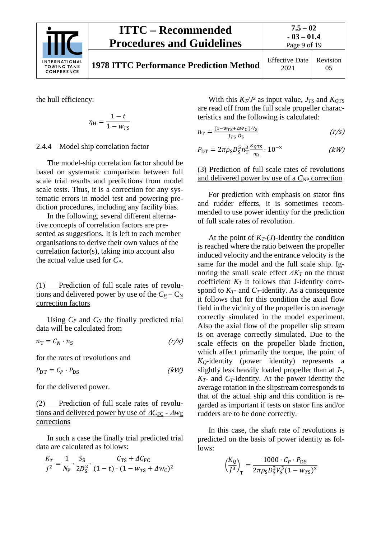

the hull efficiency:

$$
\eta_{\rm H} = \frac{1 - t}{1 - w_{TS}}
$$

<span id="page-8-0"></span>2.4.4 Model ship correlation factor

The model-ship correlation factor should be based on systematic comparison between full scale trial results and predictions from model scale tests. Thus, it is a correction for any systematic errors in model test and powering prediction procedures, including any facility bias.

In the following, several different alternative concepts of correlation factors are presented as suggestions. It is left to each member organisations to derive their own values of the correlation factor(s), taking into account also the actual value used for *C*A.

(1) Prediction of full scale rates of revolutions and delivered power by use of the  $C_P - C_N$ correction factors

Using  $C_P$  and  $C_N$  the finally predicted trial data will be calculated from

$$
n_{\rm T} = C_N \cdot n_{\rm S} \tag{r/s}
$$

for the rates of revolutions and

 $P_{\text{DT}} = C_P \cdot P_{\text{DS}}$  (kW)

for the delivered power.

(2) Prediction of full scale rates of revolutions and delivered power by use of <u>∆C<sub>FC</sub> - ∆w</u>c corrections

In such a case the finally trial predicted trial data are calculated as follows:

$$
\frac{K_T}{J^2} = \frac{1}{N_P} \cdot \frac{S_S}{2D_S^2} \cdot \frac{C_{TS} + \Delta C_{FC}}{(1 - t) \cdot (1 - w_{TS} + \Delta w_C)^2}
$$

With this  $K_T/J^2$  as input value,  $J_{TS}$  and  $K_{OTS}$ are read off from the full scale propeller characteristics and the following is calculated:

$$
n_{\rm T} = \frac{(1 - w_{\rm TS} + \Delta w_{\rm C}) \cdot V_{\rm S}}{J_{\rm TS} \cdot D_{\rm S}} \tag{r/s}
$$

$$
P_{\rm DT} = 2\pi \rho_{\rm S} D_{\rm S}^5 n_{\rm T}^3 \frac{k_{\rm QTS}}{\eta_{\rm R}} \cdot 10^{-3} \tag{kW}
$$

(3) Prediction of full scale rates of revolutions and delivered power by use of a  $C_{\rm NP}$  correction

For prediction with emphasis on stator fins and rudder effects, it is sometimes recommended to use power identity for the prediction of full scale rates of revolution.

At the point of  $K_T$ -(*J*)-Identity the condition is reached where the ratio between the propeller induced velocity and the entrance velocity is the same for the model and the full scale ship. Ignoring the small scale effect  $\Delta K_T$  on the thrust coefficient  $K_T$  it follows that J-identity correspond to  $K_T$ - and  $C_T$ -identity. As a consequence it follows that for this condition the axial flow field in the vicinity of the propeller is on average correctly simulated in the model experiment. Also the axial flow of the propeller slip stream is on average correctly simulated. Due to the scale effects on the propeller blade friction, which affect primarily the torque, the point of *KQ*-identity (power identity) represents a slightly less heavily loaded propeller than at *J*-,  $K_T$ - and  $C_T$ -identity. At the power identity the average rotation in the slipstream corresponds to that of the actual ship and this condition is regarded as important if tests on stator fins and/or rudders are to be done correctly.

In this case, the shaft rate of revolutions is predicted on the basis of power identity as follows:

$$
\left(\frac{K_Q}{J^3}\right)_{\rm T} = \frac{1000 \cdot C_P \cdot P_{\rm DS}}{2\pi \rho_{\rm S} D_{\rm S}^2 V_{\rm S}^3 (1-w_{\rm TS})^3}
$$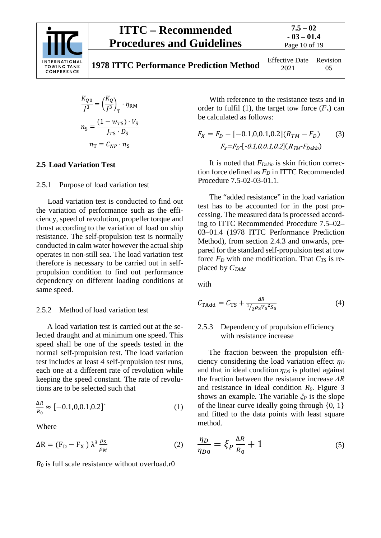

**7.5 – 02 - 03 – 01.4**

**1978 ITTC Performance Prediction Method** Effective Data

Page 10 of 19 2021 Revision 05

$$
\frac{K_{Q0}}{J^3} = \left(\frac{K_Q}{J^3}\right)_{\text{T}} \cdot \eta_{\text{RM}}
$$

$$
n_{\text{S}} = \frac{(1 - w_{\text{TS}}) \cdot V_{\text{S}}}{J_{\text{TS}} \cdot D_{\text{S}}}
$$

$$
n_{\text{T}} = C_{\text{NP}} \cdot n_{\text{S}}
$$

#### <span id="page-9-1"></span><span id="page-9-0"></span>**2.5 Load Variation Test**

#### 2.5.1 Purpose of load variation test

Load variation test is conducted to find out the variation of performance such as the efficiency, speed of revolution, propeller torque and thrust according to the variation of load on ship resistance. The self-propulsion test is normally conducted in calm water however the actual ship operates in non-still sea. The load variation test therefore is necessary to be carried out in selfpropulsion condition to find out performance dependency on different loading conditions at same speed.

#### <span id="page-9-2"></span>2.5.2 Method of load variation test

A load variation test is carried out at the selected draught and at minimum one speed. This speed shall be one of the speeds tested in the normal self-propulsion test. The load variation test includes at least 4 self-propulsion test runs, each one at a different rate of revolution while keeping the speed constant. The rate of revolutions are to be selected such that

$$
\frac{\Delta R}{R_0} \approx [-0.1, 0, 0.1, 0.2] \tag{1}
$$

Where

$$
\Delta R = (F_D - F_X) \lambda^3 \frac{\rho_S}{\rho_M} \tag{2}
$$

 $R_0$  is full scale resistance without overload.r0

With reference to the resistance tests and in order to fulfil (1), the target tow force  $(F_x)$  can be calculated as follows:

$$
F_X = F_D - [-0.1, 0, 0.1, 0.2](R_{TM} - F_D)
$$
 (3)  

$$
F_X = F_D - [-0.1, 0, 0.1, 0.2](R_{TM} - F_{Dskin})
$$

It is noted that *FDskin* is skin friction correction force defined as  $F<sub>D</sub>$  in ITTC Recommended Procedure 7.5-02-03-01.1.

The "added resistance" in the load variation test has to be accounted for in the post processing. The measured data is processed according to ITTC Recommended Procedure 7.5–02– 03–01.4 (1978 ITTC Performance Prediction Method), from section 2.4.3 and onwards, prepared for the standard self-propulsion test at tow force  $F_D$  with one modification. That  $C_{TS}$  is replaced by *CTAdd*

with

$$
C_{\text{TAdd}} = C_{\text{TS}} + \frac{\Delta R}{1/2 \rho_{\text{S}} V_{\text{S}}^2 S_{\text{S}}}
$$
(4)

#### <span id="page-9-3"></span>2.5.3 Dependency of propulsion efficiency with resistance increase

The fraction between the propulsion efficiency considering the load variation effect *η<sup>D</sup>* and that in ideal condition *ηD0* is plotted against the fraction between the resistance increase *ΔR* and resistance in ideal condition *R0*. Figure 3 shows an example. The variable *ξ<sup>P</sup>* is the slope of the linear curve ideally going through  $\{0, 1\}$ and fitted to the data points with least square method.

$$
\frac{\eta_D}{\eta_{D0}} = \xi_P \frac{\Delta R}{R_0} + 1\tag{5}
$$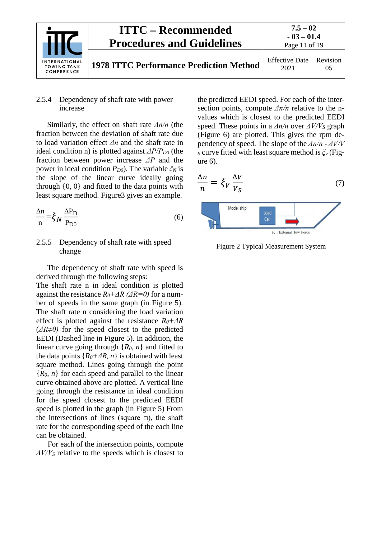

 $\left| \right|$ 

#### <span id="page-10-0"></span>2.5.4 Dependency of shaft rate with power increase

Similarly, the effect on shaft rate *Δn/n* (the fraction between the deviation of shaft rate due to load variation effect *Δn* and the shaft rate in ideal condition n) is plotted against *ΔP/PD0* (the fraction between power increase *ΔP* and the power in ideal condition *PD0*). The variable *ξ<sup>N</sup>* is the slope of the linear curve ideally going through {0, 0} and fitted to the data points with least square method. Figure3 gives an example.

$$
\frac{\Delta n}{n} = \xi_N \frac{\Delta P_D}{P_{D0}}\tag{6}
$$

#### <span id="page-10-1"></span>2.5.5 Dependency of shaft rate with speed change

The dependency of shaft rate with speed is derived through the following steps:

The shaft rate n in ideal condition is plotted against the resistance *R0+ΔR (ΔR=0)* for a number of speeds in the same graph (in Figure 5). The shaft rate n considering the load variation effect is plotted against the resistance *R0+ΔR* (*ΔR≠0)* for the speed closest to the predicted EEDI (Dashed line in Figure 5). In addition, the linear curve going through  ${R_0, n}$  and fitted to the data points  ${R_0} + \Delta R$ , *n* is obtained with least square method. Lines going through the point {*R0, n*} for each speed and parallel to the linear curve obtained above are plotted. A vertical line going through the resistance in ideal condition for the speed closest to the predicted EEDI speed is plotted in the graph (in Figure 5) From the intersections of lines (square  $\Box$ ), the shaft rate for the corresponding speed of the each line can be obtained.

For each of the intersection points, compute *ΔV/V<sup>S</sup>* relative to the speeds which is closest to

the predicted EEDI speed. For each of the intersection points, compute *Δn/n* relative to the nvalues which is closest to the predicted EEDI speed. These points in a *Δn/n* over *ΔV/V<sup>S</sup>* graph (Figure 6) are plotted. This gives the rpm dependency of speed. The slope of the *Δn/n* - *ΔV/V <sup>S</sup>* curve fitted with least square method is *ξ<sup>v</sup>* (Figure 6).

$$
\frac{\Delta n}{n} = \xi_V \frac{\Delta V}{V_S}
$$
 (7)



 $F_r$ : External Tow Force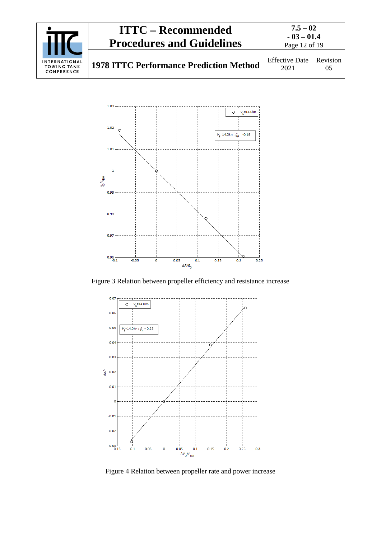



Figure 3 Relation between propeller efficiency and resistance increase



Figure 4 Relation between propeller rate and power increase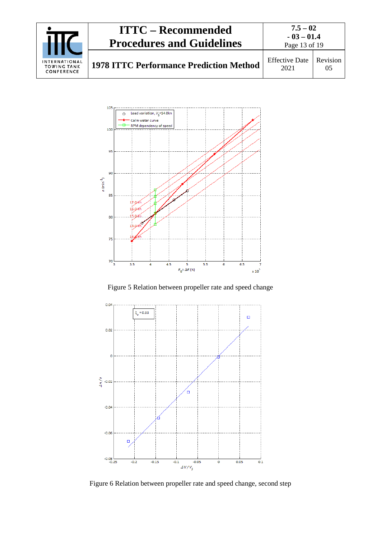



Figure 5 Relation between propeller rate and speed change



Figure 6 Relation between propeller rate and speed change, second step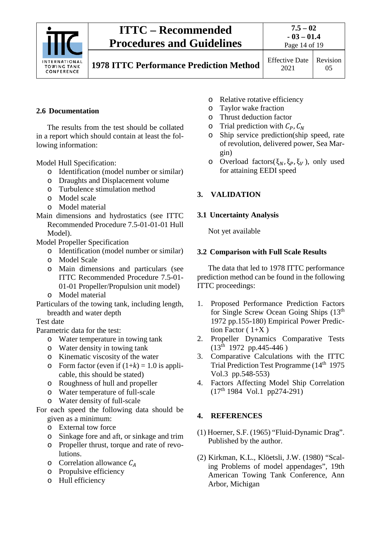

**7.5 – 02 - 03 – 01.4** Page 14 of 19

**1978 ITTC Performance Prediction Method** Effective Date

2021 Revision 05

### <span id="page-13-0"></span>**2.6 Documentation**

The results from the test should be collated in a report which should contain at least the following information:

Model Hull Specification:

- o Identification (model number or similar)
- o Draughts and Displacement volume
- o Turbulence stimulation method
- o Model scale
- o Model material
- Main dimensions and hydrostatics (see ITTC Recommended Procedure 7.5-01-01-01 Hull Model).

Model Propeller Specification

- o Identification (model number or similar)
- o Model Scale
- o Main dimensions and particulars (see ITTC Recommended Procedure 7.5-01- 01-01 Propeller/Propulsion unit model)
- o Model material

Particulars of the towing tank, including length, breadth and water depth

### Test date

Parametric data for the test:

- o Water temperature in towing tank
- o Water density in towing tank
- o Kinematic viscosity of the water
- o Form factor (even if  $(1+k) = 1.0$  is applicable, this should be stated)
- o Roughness of hull and propeller
- o Water temperature of full-scale
- o Water density of full-scale
- For each speed the following data should be given as a minimum:
	- o External tow force
	- o Sinkage fore and aft, or sinkage and trim
	- o Propeller thrust, torque and rate of revolutions.
	- $\circ$  Correlation allowance  $C_A$
	- o Propulsive efficiency
	- o Hull efficiency
- o Relative rotative efficiency<br>
o Taylor wake fraction
- Taylor wake fraction
- o Thrust deduction factor
- $\circ$  Trial prediction with  $C_P$ ,  $C_N$
- o Ship service prediction(ship speed, rate of revolution, delivered power, Sea Margin)
- o Overload factors( $\xi_N$ ,  $\xi_P$ ,  $\xi_V$ ), only used for attaining EEDI speed

### <span id="page-13-2"></span><span id="page-13-1"></span>**3. VALIDATION**

### **3.1 Uncertainty Analysis**

Not yet available

### <span id="page-13-3"></span>**3.2 Comparison with Full Scale Results**

The data that led to 1978 ITTC performance prediction method can be found in the following ITTC proceedings:

- 1. Proposed Performance Prediction Factors for Single Screw Ocean Going Ships (13th 1972 pp.155-180) Empirical Power Prediction Factor  $(1+X)$
- 2. Propeller Dynamics Comparative Tests  $(13^{\text{th}} 1972 \text{ pp}.445-446)$
- 3. Comparative Calculations with the ITTC Trial Prediction Test Programme (14<sup>th</sup> 1975) Vol.3 pp.548-553)
- 4. Factors Affecting Model Ship Correlation  $(17<sup>th</sup> 1984$  Vol.1 pp274-291)

### <span id="page-13-4"></span>**4. REFERENCES**

- (1) Hoerner, S.F. (1965) "Fluid-Dynamic Drag". Published by the author.
- (2) Kirkman, K.L., Klöetsli, J.W. (1980) "Scaling Problems of model appendages", 19th American Towing Tank Conference, Ann Arbor, Michigan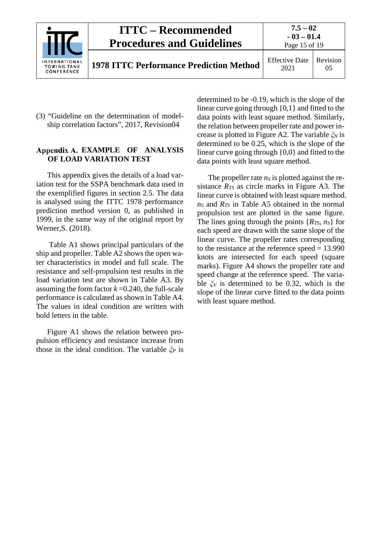|                                                   | <b>ITTC – Recommended</b><br><b>Procedures and Guidelines</b> | $7.5 - 02$<br>$-03 - 01.4$<br>Page 15 of 19 |                |  |
|---------------------------------------------------|---------------------------------------------------------------|---------------------------------------------|----------------|--|
| INTERNATIONAL<br><b>TOWING TANK</b><br>CONFERENCE | <b>1978 ITTC Performance Prediction Method</b>                | <b>Effective Date</b><br>2021               | Revision<br>05 |  |

(3) "Guideline on the determination of modelship correlation factors", 2017, Revision04

#### <span id="page-14-0"></span>**EXAMPLE OF ANALYSIS OF LOAD VARIATION TEST**

This appendix gives the details of a load variation test for the SSPA benchmark data used in the exemplified figures in section 2.5. The data is analysed using the ITTC 1978 performance prediction method version 0, as published in 1999, in the same way of the original report by Werner,S. (2018).

Table A1 shows principal particulars of the ship and propeller. Table A2 shows the open water characteristics in model and full scale. The resistance and self-propulsion test results in the load variation test are shown in Table A3. By assuming the form factor  $k = 0.240$ , the full-scale performance is calculated as shown in Table A4. The values in ideal condition are written with bold letters in the table.

Figure A1 shows the relation between propulsion efficiency and resistance increase from those in the ideal condition. The variable *ξ<sup>P</sup>* is determined to be -0.19, which is the slope of the linear curve going through {0,1} and fitted to the data points with least square method. Similarly, the relation between propeller rate and power increase is plotted in Figure A2. The variable *ξ<sup>N</sup>* is determined to be 0.25, which is the slope of the linear curve going through {0,0} and fitted to the data points with least square method.

The propeller rate  $n<sub>S</sub>$  is plotted against the resistance  $R_{TS}$  as circle marks in Figure A3. The linear curve is obtained with least square method. *nS* and *RTS* in Table A5 obtained in the normal propulsion test are plotted in the same figure. The lines going through the points  ${R_{TS}, n_S}$  for each speed are drawn with the same slope of the linear curve. The propeller rates corresponding to the resistance at the reference speed = 13.990 knots are intersected for each speed (square marks). Figure A4 shows the propeller rate and speed change at the reference speed. The variable *ξ<sup>V</sup>* is determined to be 0.32, which is the slope of the linear curve fitted to the data points with least square method.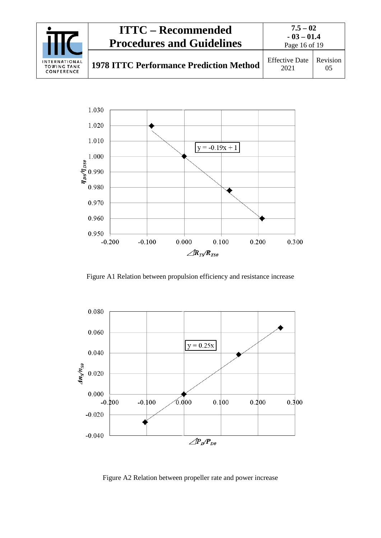



Figure A1 Relation between propulsion efficiency and resistance increase



Figure A2 Relation between propeller rate and power increase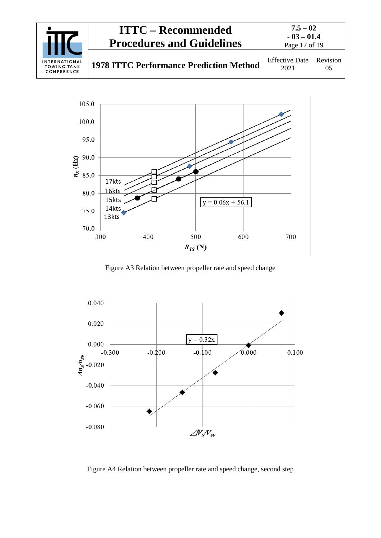



Figure A3 Relation between propeller rate and speed change



Figure A4 Relation between propeller rate and speed change, second step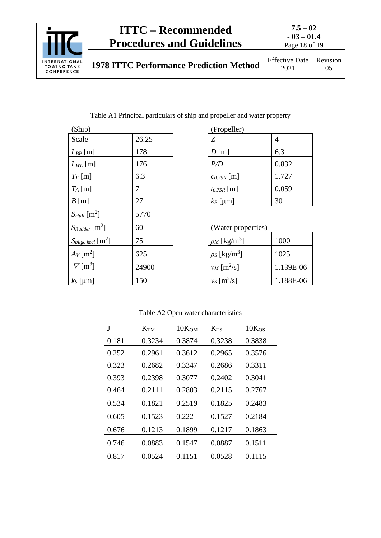

Table A1 Principal particulars of ship and propeller and water property

| (Ship)                           |       | (Propeller)                           |
|----------------------------------|-------|---------------------------------------|
| Scale                            | 26.25 | Z<br>$\overline{4}$                   |
| $L_{BP}$ [m]                     | 178   | 6.3<br>$D$ [m]                        |
| $L_{WL}$ [m]                     | 176   | 0.832<br>P/D                          |
| $T_F$ [m]                        | 6.3   | 1.727<br>$c_{0.75R}$ [m]              |
| $T_A$ [m]                        | 7     | 0.059<br>$t_{0.75R}$ [m]              |
| $B$ [m]                          | 27    | 30<br>$k_P$ [µm]                      |
| $S_{Hull}$ [m <sup>2</sup> ]     | 5770  |                                       |
| $S_{Rudder}$ [m <sup>2</sup> ]   | 60    | (Water properties)                    |
| $S_{bilge\,keel}$ [ $\rm{m}^2$ ] | 75    | $\rho_M$ [kg/m <sup>3</sup> ]<br>1000 |
| $Av$ [m <sup>2</sup> ]           | 625   | $\rho_S$ [kg/m <sup>3</sup> ]<br>1025 |
| $\nabla$ [m <sup>3</sup> ]       | 24900 | $v_M$ [m <sup>2</sup> /s]<br>1.139    |
| $k_s$ [µm]                       | 150   | $v_S$ [m <sup>2</sup> /s]<br>1.188    |

| (Propeller)     |       |  |  |  |
|-----------------|-------|--|--|--|
| Ζ               |       |  |  |  |
| $D$ [m]         | 6.3   |  |  |  |
| P/D             | 0.832 |  |  |  |
| $c_{0.75R}$ [m] | 1.727 |  |  |  |
| $t_{0.75R}$ [m] | 0.059 |  |  |  |
| $k_P$ [µm]      | 30    |  |  |  |

| (Water properties) |  |
|--------------------|--|
|--------------------|--|

| $\rho_M$ [kg/m <sup>3</sup> ] | 1000      |
|-------------------------------|-----------|
| $\rho_S$ [kg/m <sup>3</sup> ] | 1025      |
| $v_M$ [m <sup>2</sup> /s]     | 1.139E-06 |
| $v_S$ [m <sup>2</sup> /s]     | 1.188E-06 |

### Table A2 Open water characteristics

| J     | <b>K</b> <sub>TM</sub> | 10K <sub>QM</sub> | $K_{TS}$ | $10K_{OS}$ |
|-------|------------------------|-------------------|----------|------------|
| 0.181 | 0.3234                 | 0.3874            | 0.3238   | 0.3838     |
| 0.252 | 0.2961                 | 0.3612            | 0.2965   | 0.3576     |
| 0.323 | 0.2682                 | 0.3347            | 0.2686   | 0.3311     |
| 0.393 | 0.2398                 | 0.3077            | 0.2402   | 0.3041     |
| 0.464 | 0.2111                 | 0.2803            | 0.2115   | 0.2767     |
| 0.534 | 0.1821                 | 0.2519            | 0.1825   | 0.2483     |
| 0.605 | 0.1523                 | 0.222             | 0.1527   | 0.2184     |
| 0.676 | 0.1213                 | 0.1899            | 0.1217   | 0.1863     |
| 0.746 | 0.0883                 | 0.1547            | 0.0887   | 0.1511     |
| 0.817 | 0.0524                 | 0.1151            | 0.0528   | 0.1115     |